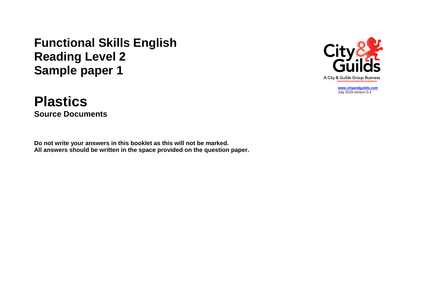## **Functional Skills English Reading Level 2 Sample paper 1**

## **Plastics Source Documents**

**Do not write your answers in this booklet as this will not be marked. All answers should be written in the space provided on the question paper.**



**[www.cityandguilds.com](http://www.cityandguilds.com/)** July 2019 version 0-3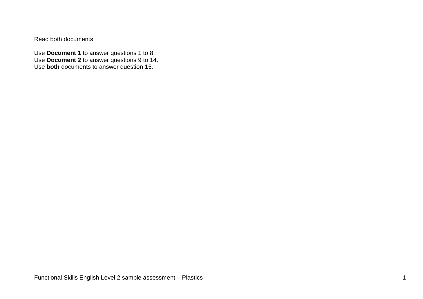Read both documents.

Use **Document 1** to answer questions 1 to 8. Use **Document 2** to answer questions 9 to 14. Use **both** documents to answer question 15.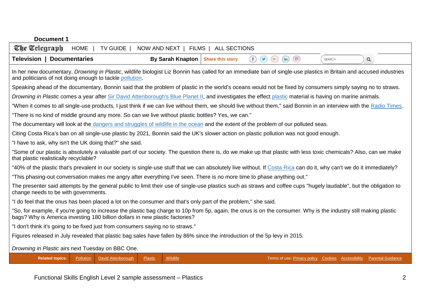| <b>Document 1</b>                                                                                                                                                                                                                                 |  |  |  |  |
|---------------------------------------------------------------------------------------------------------------------------------------------------------------------------------------------------------------------------------------------------|--|--|--|--|
| The Telegraph<br><b>HOME</b><br><b>TV GUIDE</b><br>NOW AND NEXT  <br>FILMS  <br><b>ALL SECTIONS</b>                                                                                                                                               |  |  |  |  |
| <b>Television   Documentaries</b><br><b>By Sarah Knapton</b><br><b>Share this story</b><br>$\left( \blacksquare \right)$<br>$\circ$<br>(f)<br>$\left( 0, \right)$<br>(in)<br>$\alpha$<br>SEARCH                                                   |  |  |  |  |
| In her new documentary, Drowning in Plastic, wildlife biologist Liz Bonnin has called for an immediate ban of single-use plastics in Britain and accused industries<br>and politicians of not doing enough to tackle pollution.                   |  |  |  |  |
| Speaking ahead of the documentary, Bonnin said that the problem of plastic in the world's oceans would not be fixed by consumers simply saying no to straws.                                                                                      |  |  |  |  |
| Drowning in Plastic comes a year after Sir David Attenborough's Blue Planet II, and investigates the effect plastic material is having on marine animals.                                                                                         |  |  |  |  |
| "When it comes to all single-use products, I just think if we can live without them, we should live without them," said Bonnin in an interview with the Radio Times.                                                                              |  |  |  |  |
| "There is no kind of middle ground any more. So can we live without plastic bottles? Yes, we can."                                                                                                                                                |  |  |  |  |
| The documentary will look at the dangers and struggles of wildlife in the ocean and the extent of the problem of our polluted seas.                                                                                                               |  |  |  |  |
| Citing Costa Rica's ban on all single-use plastic by 2021, Bonnin said the UK's slower action on plastic pollution was not good enough.                                                                                                           |  |  |  |  |
| "I have to ask, why isn't the UK doing that?" she said.                                                                                                                                                                                           |  |  |  |  |
| "Some of our plastic is absolutely a valuable part of our society. The question there is, do we make up that plastic with less toxic chemicals? Also, can we make<br>that plastic realistically recyclable?                                       |  |  |  |  |
| "40% of the plastic that's prevalent in our society is single-use stuff that we can absolutely live without. If Costa Rica can do it, why can't we do it immediately?                                                                             |  |  |  |  |
| "This phasing-out conversation makes me angry after everything I've seen. There is no more time to phase anything out."                                                                                                                           |  |  |  |  |
| The presenter said attempts by the general public to limit their use of single-use plastics such as straws and coffee cups "hugely laudable", but the obligation to<br>change needs to be with governments.                                       |  |  |  |  |
| "I do feel that the onus has been placed a lot on the consumer and that's only part of the problem," she said.                                                                                                                                    |  |  |  |  |
| "So, for example, if you're going to increase the plastic bag charge to 10p from 5p, again, the onus is on the consumer. Why is the industry still making plastic<br>bags? Why is America investing 180 billion dollars in new plastic factories? |  |  |  |  |
| "I don't think it's going to be fixed just from consumers saying no to straws."                                                                                                                                                                   |  |  |  |  |
| Figures released in July revealed that plastic bag sales have fallen by 86% since the introduction of the 5p levy in 2015.                                                                                                                        |  |  |  |  |
| Drowning in Plastic airs next Tuesday on BBC One.                                                                                                                                                                                                 |  |  |  |  |
| <b>Related topics:</b><br>David Attenborough<br>Wildlife<br>Pollution<br>Plastic<br>Terms of use: Privacy policy Cookies Accessibility Parental Guidance                                                                                          |  |  |  |  |